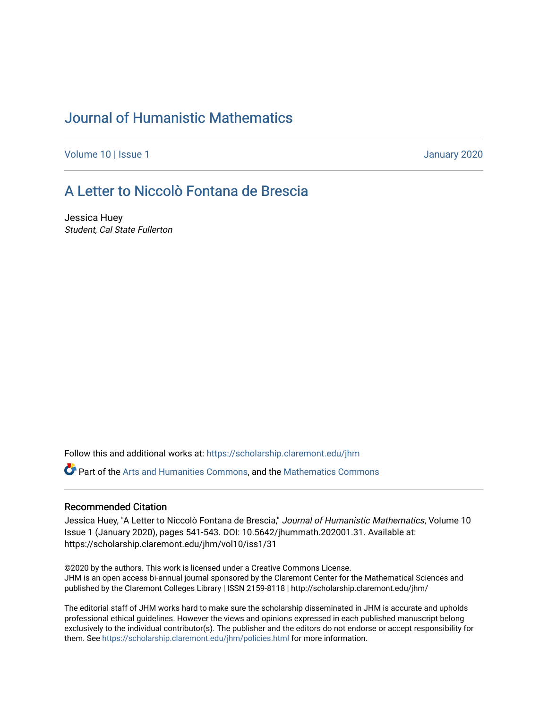## [Journal of Humanistic Mathematics](https://scholarship.claremont.edu/jhm)

[Volume 10](https://scholarship.claremont.edu/jhm/vol10) | Issue 1 January 2020

## [A Letter to Niccolò Fontana de Brescia](https://scholarship.claremont.edu/jhm/vol10/iss1/31)

Jessica Huey Student, Cal State Fullerton

Follow this and additional works at: [https://scholarship.claremont.edu/jhm](https://scholarship.claremont.edu/jhm?utm_source=scholarship.claremont.edu%2Fjhm%2Fvol10%2Fiss1%2F31&utm_medium=PDF&utm_campaign=PDFCoverPages)

Part of the [Arts and Humanities Commons,](http://network.bepress.com/hgg/discipline/438?utm_source=scholarship.claremont.edu%2Fjhm%2Fvol10%2Fiss1%2F31&utm_medium=PDF&utm_campaign=PDFCoverPages) and the [Mathematics Commons](http://network.bepress.com/hgg/discipline/174?utm_source=scholarship.claremont.edu%2Fjhm%2Fvol10%2Fiss1%2F31&utm_medium=PDF&utm_campaign=PDFCoverPages) 

## Recommended Citation

Jessica Huey, "A Letter to Niccolò Fontana de Brescia," Journal of Humanistic Mathematics, Volume 10 Issue 1 (January 2020), pages 541-543. DOI: 10.5642/jhummath.202001.31. Available at: https://scholarship.claremont.edu/jhm/vol10/iss1/31

©2020 by the authors. This work is licensed under a Creative Commons License. JHM is an open access bi-annual journal sponsored by the Claremont Center for the Mathematical Sciences and published by the Claremont Colleges Library | ISSN 2159-8118 | http://scholarship.claremont.edu/jhm/

The editorial staff of JHM works hard to make sure the scholarship disseminated in JHM is accurate and upholds professional ethical guidelines. However the views and opinions expressed in each published manuscript belong exclusively to the individual contributor(s). The publisher and the editors do not endorse or accept responsibility for them. See<https://scholarship.claremont.edu/jhm/policies.html> for more information.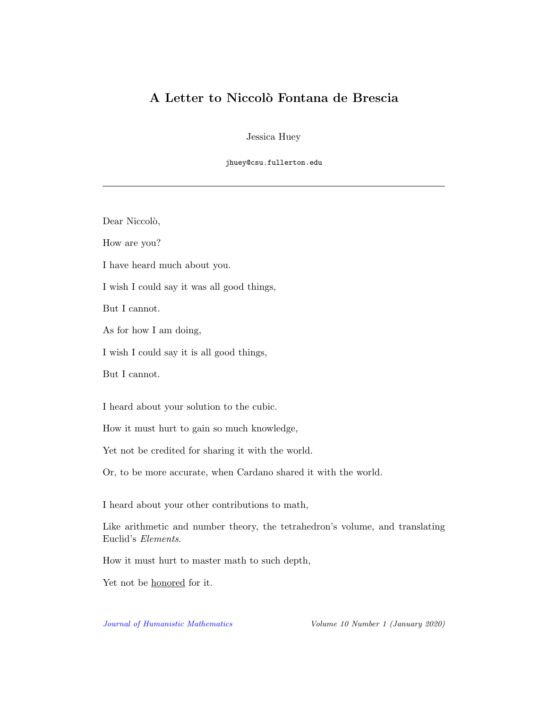## A Letter to Niccolò Fontana de Brescia

Jessica Huey

jhuey@csu.fullerton.edu

Dear Niccolò,

How are you?

I have heard much about you.

I wish I could say it was all good things,

But I cannot.

As for how I am doing,

I wish I could say it is all good things,

But I cannot.

I heard about your solution to the cubic.

How it must hurt to gain so much knowledge,

Yet not be credited for sharing it with the world.

Or, to be more accurate, when Cardano shared it with the world.

I heard about your other contributions to math,

Like arithmetic and number theory, the tetrahedron's volume, and translating Euclid's Elements.

How it must hurt to master math to such depth,

Yet not be honored for it.

[Journal of Humanistic Mathematics](http://scholarship.claremont.edu/jhm/) Volume 10 Number 1 (January 2020)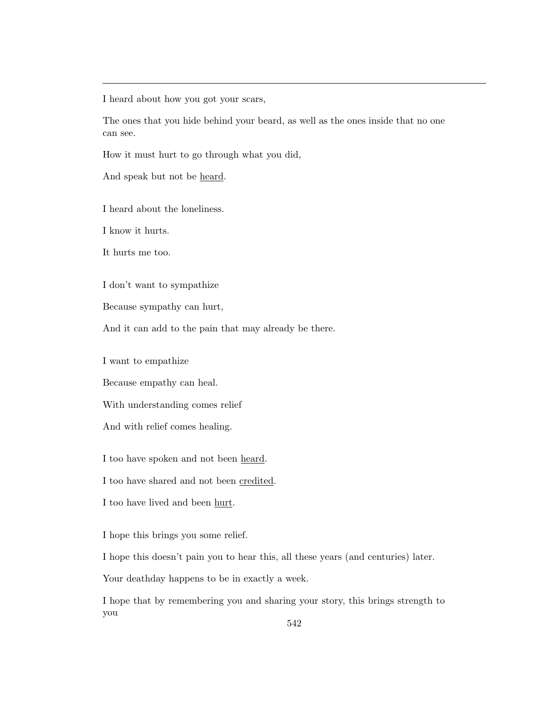I heard about how you got your scars,

The ones that you hide behind your beard, as well as the ones inside that no one can see.

How it must hurt to go through what you did,

And speak but not be heard.

I heard about the loneliness.

I know it hurts.

It hurts me too.

I don't want to sympathize

Because sympathy can hurt,

And it can add to the pain that may already be there.

I want to empathize

Because empathy can heal.

With understanding comes relief

And with relief comes healing.

I too have spoken and not been heard.

I too have shared and not been credited.

I too have lived and been hurt.

I hope this brings you some relief.

I hope this doesn't pain you to hear this, all these years (and centuries) later.

Your deathday happens to be in exactly a week.

I hope that by remembering you and sharing your story, this brings strength to you